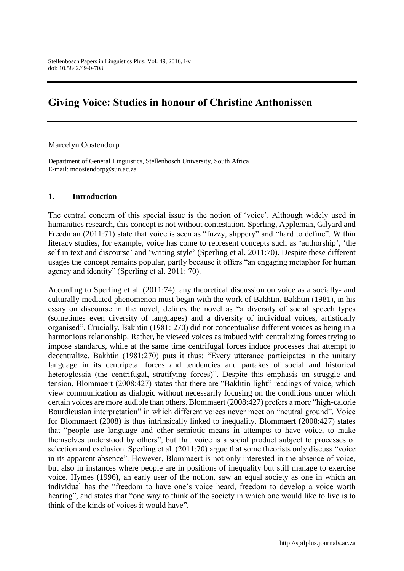# **Giving Voice: Studies in honour of Christine Anthonissen**

#### Marcelyn Oostendorp

Department of General Linguistics, Stellenbosch University, South Africa E-mail: moostendorp@sun.ac.za

### **1. Introduction**

The central concern of this special issue is the notion of 'voice'. Although widely used in humanities research, this concept is not without contestation. Sperling, Appleman, Gilyard and Freedman (2011:71) state that voice is seen as "fuzzy, slippery" and "hard to define". Within literacy studies, for example, voice has come to represent concepts such as 'authorship', 'the self in text and discourse' and 'writing style' (Sperling et al. 2011:70). Despite these different usages the concept remains popular, partly because it offers "an engaging metaphor for human agency and identity" (Sperling et al. 2011: 70).

According to Sperling et al. (2011:74), any theoretical discussion on voice as a socially- and culturally-mediated phenomenon must begin with the work of Bakhtin. Bakhtin (1981), in his essay on discourse in the novel, defines the novel as "a diversity of social speech types (sometimes even diversity of languages) and a diversity of individual voices, artistically organised". Crucially, Bakhtin (1981: 270) did not conceptualise different voices as being in a harmonious relationship. Rather, he viewed voices as imbued with centralizing forces trying to impose standards, while at the same time centrifugal forces induce processes that attempt to decentralize. Bakhtin (1981:270) puts it thus: "Every utterance participates in the unitary language in its centripetal forces and tendencies and partakes of social and historical heteroglossia (the centrifugal, stratifying forces)". Despite this emphasis on struggle and tension, Blommaert (2008:427) states that there are "Bakhtin light" readings of voice, which view communication as dialogic without necessarily focusing on the conditions under which certain voices are more audible than others. Blommaert (2008:427) prefers a more "high-calorie Bourdieusian interpretation" in which different voices never meet on "neutral ground". Voice for Blommaert (2008) is thus intrinsically linked to inequality. Blommaert (2008:427) states that "people use language and other semiotic means in attempts to have voice, to make themselves understood by others", but that voice is a social product subject to processes of selection and exclusion. Sperling et al. (2011:70) argue that some theorists only discuss "voice in its apparent absence". However, Blommaert is not only interested in the absence of voice, but also in instances where people are in positions of inequality but still manage to exercise voice. Hymes (1996), an early user of the notion, saw an equal society as one in which an individual has the "freedom to have one's voice heard, freedom to develop a voice worth hearing", and states that "one way to think of the society in which one would like to live is to think of the kinds of voices it would have".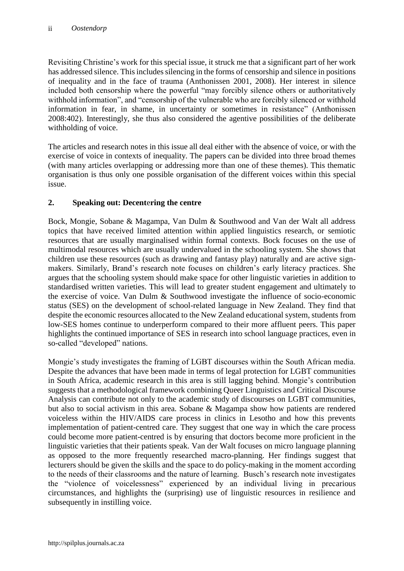Revisiting Christine's work for this special issue, it struck me that a significant part of her work has addressed silence. This includes silencing in the forms of censorship and silence in positions of inequality and in the face of trauma (Anthonissen 2001, 2008). Her interest in silence included both censorship where the powerful "may forcibly silence others or authoritatively withhold information", and "censorship of the vulnerable who are forcibly silenced or withhold information in fear, in shame, in uncertainty or sometimes in resistance" (Anthonissen 2008:402). Interestingly, she thus also considered the agentive possibilities of the deliberate withholding of voice.

The articles and research notes in this issue all deal either with the absence of voice, or with the exercise of voice in contexts of inequality. The papers can be divided into three broad themes (with many articles overlapping or addressing more than one of these themes). This thematic organisation is thus only one possible organisation of the different voices within this special issue.

## **2. Speaking out: Decent**e**ring the centre**

Bock, Mongie, Sobane & Magampa, Van Dulm & Southwood and Van der Walt all address topics that have received limited attention within applied linguistics research, or semiotic resources that are usually marginalised within formal contexts. Bock focuses on the use of multimodal resources which are usually undervalued in the schooling system. She shows that children use these resources (such as drawing and fantasy play) naturally and are active signmakers. Similarly, Brand's research note focuses on children's early literacy practices. She argues that the schooling system should make space for other linguistic varieties in addition to standardised written varieties. This will lead to greater student engagement and ultimately to the exercise of voice. Van Dulm & Southwood investigate the influence of socio-economic status (SES) on the development of school-related language in New Zealand. They find that despite the economic resources allocated to the New Zealand educational system, students from low-SES homes continue to underperform compared to their more affluent peers. This paper highlights the continued importance of SES in research into school language practices, even in so-called "developed" nations.

Mongie's study investigates the framing of LGBT discourses within the South African media. Despite the advances that have been made in terms of legal protection for LGBT communities in South Africa, academic research in this area is still lagging behind. Mongie's contribution suggests that a methodological framework combining Queer Linguistics and Critical Discourse Analysis can contribute not only to the academic study of discourses on LGBT communities, but also to social activism in this area. Sobane & Magampa show how patients are rendered voiceless within the HIV/AIDS care process in clinics in Lesotho and how this prevents implementation of patient-centred care. They suggest that one way in which the care process could become more patient-centred is by ensuring that doctors become more proficient in the linguistic varieties that their patients speak. Van der Walt focuses on micro language planning as opposed to the more frequently researched macro-planning. Her findings suggest that lecturers should be given the skills and the space to do policy-making in the moment according to the needs of their classrooms and the nature of learning. Busch's research note investigates the "violence of voicelessness" experienced by an individual living in precarious circumstances, and highlights the (surprising) use of linguistic resources in resilience and subsequently in instilling voice.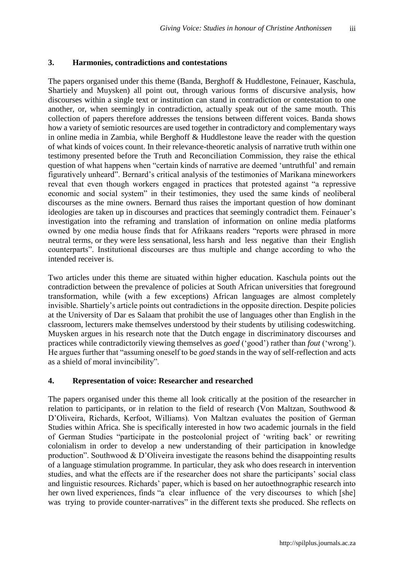### **3. Harmonies, contradictions and contestations**

The papers organised under this theme (Banda, Berghoff & Huddlestone, Feinauer, Kaschula, Shartiely and Muysken) all point out, through various forms of discursive analysis, how discourses within a single text or institution can stand in contradiction or contestation to one another, or, when seemingly in contradiction, actually speak out of the same mouth. This collection of papers therefore addresses the tensions between different voices. Banda shows how a variety of semiotic resources are used together in contradictory and complementary ways in online media in Zambia, while Berghoff & Huddlestone leave the reader with the question of what kinds of voices count. In their relevance-theoretic analysis of narrative truth within one testimony presented before the Truth and Reconciliation Commission, they raise the ethical question of what happens when "certain kinds of narrative are deemed 'untruthful' and remain figuratively unheard". Bernard's critical analysis of the testimonies of Marikana mineworkers reveal that even though workers engaged in practices that protested against "a repressive economic and social system" in their testimonies, they used the same kinds of neoliberal discourses as the mine owners. Bernard thus raises the important question of how dominant ideologies are taken up in discourses and practices that seemingly contradict them. Feinauer's investigation into the reframing and translation of information on online media platforms owned by one media house finds that for Afrikaans readers "reports were phrased in more neutral terms, or they were less sensational, less harsh and less negative than their English counterparts". Institutional discourses are thus multiple and change according to who the intended receiver is.

Two articles under this theme are situated within higher education. Kaschula points out the contradiction between the prevalence of policies at South African universities that foreground transformation, while (with a few exceptions) African languages are almost completely invisible. Shartiely's article points out contradictions in the opposite direction. Despite policies at the University of Dar es Salaam that prohibit the use of languages other than English in the classroom, lecturers make themselves understood by their students by utilising codeswitching. Muysken argues in his research note that the Dutch engage in discriminatory discourses and practices while contradictorily viewing themselves as *goed* ('good') rather than *fout* ('wrong'). He argues further that "assuming oneself to be *goed* stands in the way of self-reflection and acts as a shield of moral invincibility".

### **4. Representation of voice: Researcher and researched**

The papers organised under this theme all look critically at the position of the researcher in relation to participants, or in relation to the field of research (Von Maltzan, Southwood & D'Oliveira, Richards, Kerfoot, Williams). Von Maltzan evaluates the position of German Studies within Africa. She is specifically interested in how two academic journals in the field of German Studies "participate in the postcolonial project of 'writing back' or rewriting colonialism in order to develop a new understanding of their participation in knowledge production". Southwood & D'Oliveira investigate the reasons behind the disappointing results of a language stimulation programme. In particular, they ask who does research in intervention studies, and what the effects are if the researcher does not share the participants' social class and linguistic resources. Richards' paper, which is based on her autoethnographic research into her own lived experiences, finds "a clear influence of the very discourses to which [she] was trying to provide counter-narratives" in the different texts she produced. She reflects on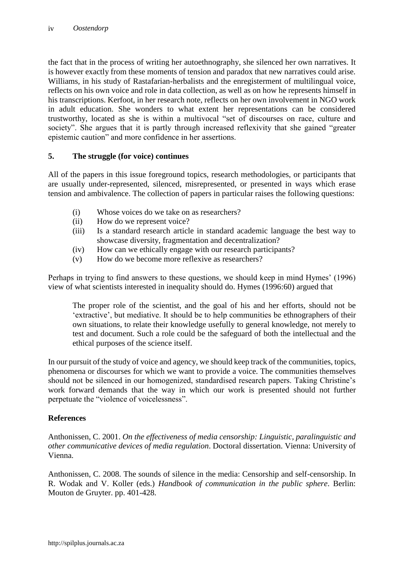the fact that in the process of writing her autoethnography, she silenced her own narratives. It is however exactly from these moments of tension and paradox that new narratives could arise. Williams, in his study of Rastafarian-herbalists and the enregisterment of multilingual voice, reflects on his own voice and role in data collection, as well as on how he represents himself in his transcriptions. Kerfoot, in her research note, reflects on her own involvement in NGO work in adult education. She wonders to what extent her representations can be considered trustworthy, located as she is within a multivocal "set of discourses on race, culture and society". She argues that it is partly through increased reflexivity that she gained "greater epistemic caution" and more confidence in her assertions.

## **5. The struggle (for voice) continues**

All of the papers in this issue foreground topics, research methodologies, or participants that are usually under-represented, silenced, misrepresented, or presented in ways which erase tension and ambivalence. The collection of papers in particular raises the following questions:

- (i) Whose voices do we take on as researchers?
- (ii) How do we represent voice?
- (iii) Is a standard research article in standard academic language the best way to showcase diversity, fragmentation and decentralization?
- (iv) How can we ethically engage with our research participants?
- (v) How do we become more reflexive as researchers?

Perhaps in trying to find answers to these questions, we should keep in mind Hymes' (1996) view of what scientists interested in inequality should do. Hymes (1996:60) argued that

The proper role of the scientist, and the goal of his and her efforts, should not be 'extractive', but mediative. It should be to help communities be ethnographers of their own situations, to relate their knowledge usefully to general knowledge, not merely to test and document. Such a role could be the safeguard of both the intellectual and the ethical purposes of the science itself.

In our pursuit of the study of voice and agency, we should keep track of the communities, topics, phenomena or discourses for which we want to provide a voice. The communities themselves should not be silenced in our homogenized, standardised research papers. Taking Christine's work forward demands that the way in which our work is presented should not further perpetuate the "violence of voicelessness".

### **References**

Anthonissen, C. 2001. *On the effectiveness of media censorship: Linguistic, paralinguistic and other communicative devices of media regulation*. Doctoral dissertation. Vienna: University of Vienna.

Anthonissen, C. 2008. The sounds of silence in the media: Censorship and self-censorship. In R. Wodak and V. Koller (eds.) *Handbook of communication in the public sphere*. Berlin: Mouton de Gruyter. pp. 401-428.